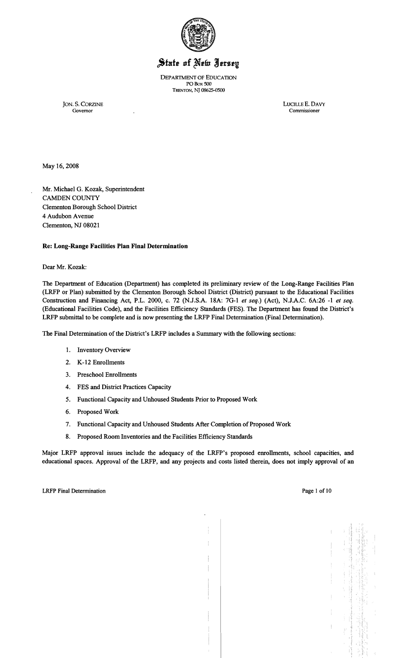

# State of New Jersey

DEPARTMENT OF EDUCATION POBox SOO TRENTON, NI 08625-0500

JON. S. CORZINE LUCILLE E. DAVY Governor Commissioner

Commissioner

May 16, 2008

Mr. Michael G. Kozak, Superintendent CAMDEN COUNTY Clementon Borough School District 4 Audubon Avenue Clementon, NJ 08021

## Re: Long-Range Facilities Plan Final Determination

Dear Mr. Kozak:

The Department of Education (Department) has completed its preliminary review of the Long-Range Facilities Plan (LRFP or Plan) submitted by the Clementon Borough School District (District) pursuant to the Educational Facilities Construction and Financing Act, P.L. 2000, c. 72 (N.J.S.A. 18A: 7G-l *et seq.)* (Act), N.J.A.C. 6A:26 -1 *et seq.*  (Educational Facilities Code), and the Facilities Efficiency Standards (FES). The Department has found the District's LRFP submittal to be complete and is now presenting the LRFP Final Determination (Final Determination).

The Final Determination of the District's LRFP includes a Summary with the following sections:

- 1. Inventory Overview
- 2. K-12 Enrollments
- 3. Preschool Enrollments
- 4. FES and District Practices Capacity
- 5. Functional Capacity and Unhoused Students Prior to Proposed Work
- 6. Proposed Work
- 7. Functional Capacity and Unhoused Students After Completion of Proposed Work
- 8. Proposed Room Inventories and the Facilities Efficiency Standards

Major LRFP approval issues include the adequacy of the LRFP's proposed enrollments, school capacities, and educational spaces. Approval of the LRFP, and any projects and costs listed therein, does not imply approval of an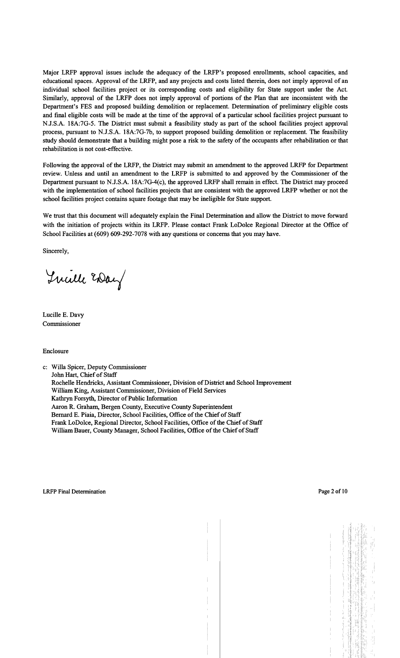Major LRFP approval issues include the adequacy of the LRFP's proposed emollments, school capacities, and educational spaces. Approval of the LRFP, and any projects and costs listed therein, does not imply approval of an individual school facilities project or its corresponding costs and eligibility for State support under the Act. Similarly, approval of the LRFP does not imply approval of portions of the Plan that are inconsistent with the Department's FES and proposed building demolition or replacement. Determination of preliminary eligible costs and final eligible costs will be made at the time of the approval of a particular school facilities project pursuant to N.J.S.A. 18A:7G-5. The District must submit a feasibility study as part of the school facilities project approval process, pursuant to N.J.S.A. 18A:7G-7b, to support proposed building demolition or replacement. The feasibility study should demonstrate that a building might pose a risk to the safety of the occupants after rehabilitation or that rehabilitation is not cost-effective.

Following the approval of the LRFP, the District may submit an amendment to the approved LRFP for Department review. Unless and until an amendment to the LRFP is submitted to and approved by the Commissioner of the Department pursuant to N.J.S.A. 18A:7G-4(c), the approved LRFP shall remain in effect. The District may proceed with the implementation of school facilities projects that are consistent with the approved LRFP whether or not the school facilities project contains square footage that may be ineligible for State support.

We trust that this document will adequately explain the Final Determination and allow the District to move forward with the initiation of projects within its LRFP. Please contact Frank LoDolce Regional Director at the Office of School Facilities at (609) 609-292-7078 with any questions or concerns that you may have.

Sincerely,

Twill Eday

Lucille E. Davy Commissioner

Enclosure

c: Willa Spicer, Deputy Commissioner John Hart, Chief of Staff Rochelle Hendricks, Assistant Commissioner, Division of District and School Improvement William King, Assistant Commissioner, Division of Field Services Kathryn Forsyth, Director of Public Information Aaron R. Graham, Bergen County, Executive County Superintendent Bernard E. Piaia, Director, School Facilities, Office of the Chief of Staff Frank LoDo1ce, Regional Director, School Facilities, Office of the Chief of Staff William Bauer, County Manager, School Facilities, Office of the Chief of Staff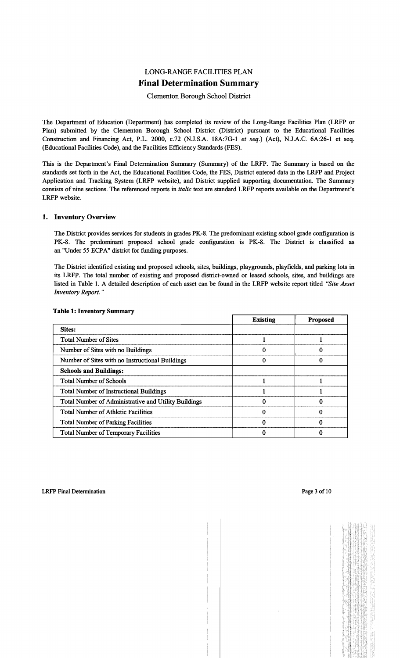# LONG-RANGE FACILITIES PLAN Final Determination Summary

# Clementon Borough School District

The Department of Education (Department) has completed its review of the Long-Range Facilities Plan (LRFP or Plan) submitted by the Clementon Borough School District (District) pursuant to the Educational Facilities Construction and Financing Act, P.L. 2000, c.72 (NJ.S.A. 18A:7G-l *et seq.)* (Act), NJ.A.C. 6A:26-1 et seq. (Educational Facilities Code), and the Facilities Efficiency Standards (FES).

This is the Department's Final Determination Summary (Summary) of the LRFP. The Summary is based on the standards set forth in the Act, the Educational Facilities Code, the FES, District entered data in the LRFP and Project Application and Tracking System (LRFP website), and District supplied supporting documentation. The Summary consists of nine sections. The referenced reports in *italic* text are standard LRFP reports available on the Department's LRFP website.

## 1. Inventory Overview

The District provides services for students in grades PK-8. The predominant existing school grade configuration is PK-8. The predominant proposed school grade configuration is PK-8. The District is classified as an "Under 55 ECPA" district for funding purposes.

The District identified existing and proposed schools, sites, buildings, playgrounds, playfields, and parking lots in its LRFP. The total number of existing and proposed district-owned or leased schools, sites, and buildings are listed in Table 1. A detailed description of each asset can be found in the LRFP website report titled *"Site Asset Inventory Report. "* 

|                                                      | <b>Existing</b> | <b>Proposed</b> |
|------------------------------------------------------|-----------------|-----------------|
| <b>Sites:</b>                                        |                 |                 |
| <b>Total Number of Sites</b>                         |                 |                 |
| Number of Sites with no Buildings                    |                 |                 |
| Number of Sites with no Instructional Buildings      |                 | 0               |
| <b>Schools and Buildings:</b>                        |                 |                 |
| <b>Total Number of Schools</b>                       |                 |                 |
| <b>Total Number of Instructional Buildings</b>       |                 |                 |
| Total Number of Administrative and Utility Buildings |                 |                 |
| <b>Total Number of Athletic Facilities</b>           |                 |                 |
| <b>Total Number of Parking Facilities</b>            |                 |                 |
| <b>Total Number of Temporary Facilities</b>          |                 |                 |

### Table 1: Inventory Summary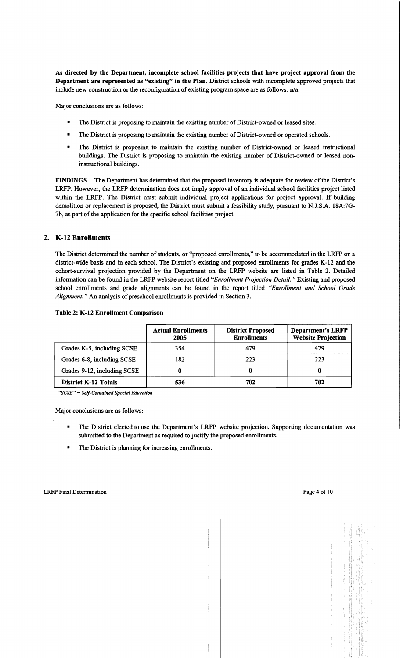As directed by the Department, incomplete school facilities projects that have project approval from the Department are represented as "existing" in the Plan. District schools with incomplete approved projects that include new construction or the reconfiguration of existing program space are as follows: n/a.

Major conclusions are as follows:

- The District is proposing to maintain the existing number of District-owned or leased sites.
- The District is proposing to maintain the existing number of District-owned or operated schools.
- The District is proposing to maintain the existing number of District-owned or leased instructional buildings. The District is proposing to maintain the existing number of District-owned or leased noninstructional buildings.

FINDINGS The Department has determined that the proposed inventory is adequate for review of the District's LRFP. However, the LRFP determination does not imply approval of an individual school facilities project listed within the LRFP. The District must submit individual project applications for project approval. If building demolition or replacement is proposed, the District must submit a feasibility study, pursuant to N.J.S.A. 18A:7G-7b, as part of the application for the specific school facilities project.

# 2. K-12 Enrollments

The District determined the number of students, or "proposed enrollments," to be accommodated in the LRFP on a district-wide basis and in each school. The District's existing and proposed enrollments for grades K-12 and the cohort-survival projection provided by the Department on the LRFP website are listed in Table 2. Detailed information can be found in the LRFP website report titled *"Enrollment Projection Detail.* " Existing and proposed school enrollments and grade alignments can be found in the report titled *"Enrollment and School Grade Alignment.*" An analysis of preschool enrollments is provided in Section 3.

| 1991, 21 12 13 14 15 16 16 17 18 19 19 19 19 19 19 1 |                                   |                                                |                                                       |  |  |
|------------------------------------------------------|-----------------------------------|------------------------------------------------|-------------------------------------------------------|--|--|
|                                                      | <b>Actual Enrollments</b><br>2005 | <b>District Proposed</b><br><b>Enrollments</b> | <b>Department's LRFP</b><br><b>Website Projection</b> |  |  |
| Grades K-5, including SCSE                           | 354                               | 479                                            | 479                                                   |  |  |
| Grades 6-8, including SCSE                           | 182                               | 223                                            | 223                                                   |  |  |
| Grades 9-12, including SCSE                          |                                   |                                                |                                                       |  |  |
| <b>District K-12 Totals</b>                          | 536                               | 702                                            | 702                                                   |  |  |

### Table 2: K-12 Enrollment Comparison

*"SCSE"* = *Sel.f-Contained Special Education* 

Major conclusions are as follows:

- The District elected to use the Department's LRFP website projection. Supporting documentation was submitted to the Department as required to justify the proposed enrollments.
- The District is planning for increasing enrollments.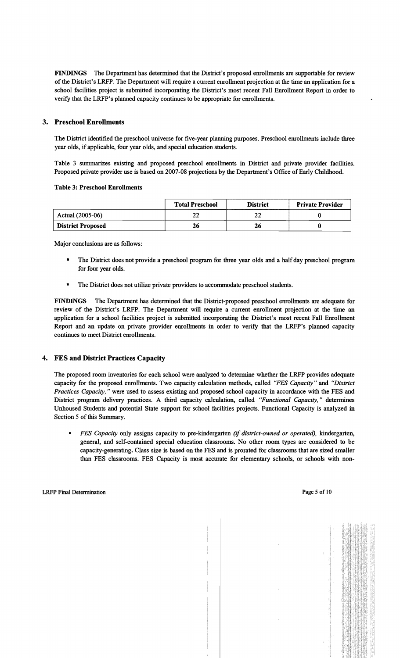FINDINGS The Department has determined that the District's proposed enrollments are supportable for review of the District's LRFP. The Department will require a current enrollment projection at the time an application for a school facilities project is submitted incorporating the District's most recent Fall Enrollment Report in order to verify that the LRFP's planned capacity continues to be appropriate for enrollments.

# 3. Preschool Enrollments

The District identified the preschool universe for five-year planning purposes. Preschool enrollments include three year olds, if applicable, four year olds, and special education students.

Table 3 summarizes existing and proposed preschool enrollments in District and private provider facilities. Proposed private provider use is based on 2007-08 projections by the Department's Office of Early Childhood.

#### Table 3: Preschool Enrollments

|                          | <b>Total Preschool</b> | <b>District</b> | <b>Private Provider</b> |
|--------------------------|------------------------|-----------------|-------------------------|
| Actual (2005-06)         | ີ<br>LL                | LL              |                         |
| <b>District Proposed</b> | 26                     | 26              |                         |

Major conclusions are as follows:

- The District does not provide a preschool program for three year olds and a halfday preschool program for four year olds.
- The District does not utilize private providers to accommodate preschool students.

FINDINGS The Department has determined that the District-proposed preschool enrollments are adequate for review of the District's LRFP. The Department will require a current enrollment projection at the time an application for a school facilities project is submitted incorporating the District's most recent Fall Enrollment Report and an update on private provider enrollments in order to verify that the LRFP's planned capacity continues to meet District enrollments.

# 4. FES and District Practices Capacity

The proposed room inventories for each school were analyzed to determine whether the LRFP provides adequate capacity for the proposed enrollments. Two capacity calculation methods, called *"FES Capacity"* and *"District Practices Capacity,* " were used to assess existing and proposed school capacity in accordance with the FES and District program delivery practices. A third capacity calculation, called *"Functional Capacity*," determines Unhoused Students and potential State support for school facilities projects. Functional Capacity is analyzed in Section 5 of this Summary.

*FES Capacity* only assigns capacity to pre-kindergarten *(if district-owned or operated)*, kindergarten, general, and self-contained special education classrooms. No other room types are considered to be capacity-generating. Class size is based on the FES and is prorated for classrooms that are sized smaller than FES classrooms. FES Capacity is most accurate for elementary schools, or schools with non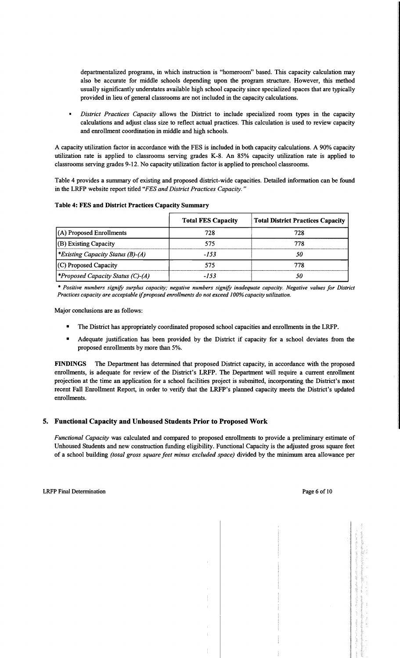departmentalized programs, in which instruction is "homeroom" based. This capacity calculation may also be accurate for middle schools depending upon the program structure. However, this method usually significantly understates available high school capacity since specialized spaces that are typically provided in lieu of general classrooms are not included in the capacity calculations.

*District Practices Capacity* allows the District to include specialized room types in the capacity calculations and adjust class size to reflect actual practices. This calculation is used to review capacity and enrollment coordination in middle and high schools.

A capacity utilization factor in accordance with the FES is included in both capacity calculations. A 90% capacity utilization rate is applied to classrooms serving grades K-8. An 85% capacity utilization rate is applied to classrooms serving grades 9-12. No capacity utilization factor is applied to preschool classrooms.

Table 4 provides a summary of existing and proposed district-wide capacities. Detailed information can be found in the LRFP website report titled *"FES and District Practices Capacity. "* 

|                                                 | <b>Total FES Capacity</b> | <b>Total District Practices Capacity</b> |
|-------------------------------------------------|---------------------------|------------------------------------------|
| (A) Proposed Enrollments                        | 728                       | 728                                      |
| (B) Existing Capacity                           | 575                       | 778                                      |
| <i><b>*Existing Capacity Status (B)-(A)</b></i> | $-153$                    | 50                                       |
| (C) Proposed Capacity                           | 575                       | 778                                      |
| <i><b>*Proposed Capacity Status (C)-(A)</b></i> | -153                      | 50                                       |

## Table 4: FES and District Practices Capacity Summary

*• Positive numbers signify surplus capacity; negative numbers signify inadequate capacity. Negative values for District Practices capacity are acceptable ifproposed enrollments do not exceed 100% capacity utilization.* 

Major conclusions are as follows:

- The District has appropriately coordinated proposed school capacities and enrollments in the LRFP.
- Adequate justification has been provided by the District if capacity for a school deviates from the proposed enrollments by more than 5%.

FINDINGS The Department has determined that proposed District capacity, in accordance with the proposed enrollments, is adequate for review of the District's LRFP. The Department will require a current enrollment projection at the time an application for a school facilities project is submitted, incorporating the District's most recent Fall Enrollment Report, in order to verify that the LRFP's planned capacity meets the District's updated enrollments.

# 5. Functional Capacity and Unhoused Students Prior to Proposed Work

*Functional Capacity* was calculated and compared to proposed enrollments to provide a preliminary estimate of Unhoused Students and new construction funding eligibility. Functional Capacity is the adjusted gross square feet of a school building *(total gross square feet minus excluded space)* divided by the minimum area allowance per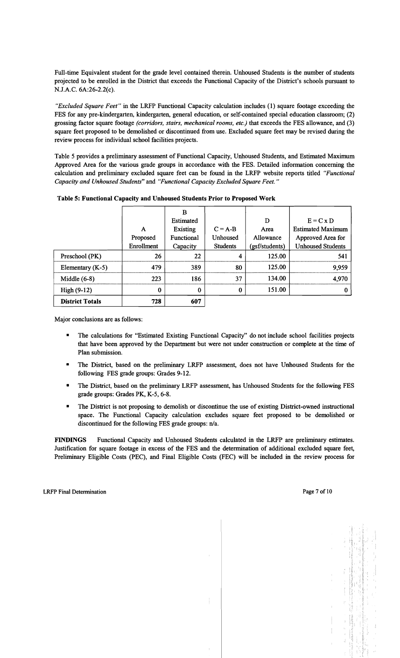Full-time Equivalent student for the grade level contained therein. Unhoused Students is the number of students projected to be enrolled in the District that exceeds the Functional Capacity of the District's schools pursuant to N.J.A.C.6A:26-2.2(c).

*"Excluded Square Feet"* in the LRFP Functional Capacity calculation includes (1) square footage exceeding the FES for any pre-kindergarten, kindergarten, general education, or self-contained special education classroom; (2) grossing factor square footage *(corridors, stairs, mechanical rooms, etc.)* that exceeds the FES allowance, and (3) square feet proposed to be demolished or discontinued from use. Excluded square feet may be revised during the review process for individual school facilities projects.

Table 5 provides a preliminary assessment of Functional Capacity, Unhoused Students, and Estimated Maximum Approved Area for the various grade groups in accordance with the FES. Detailed infonnation concerning the calculation and preliminary excluded square feet can be found in the LRFP website reports titled *"Functional Capacity and Unhoused Students"* and *"Functional Capacity Excluded Square Feet."* 

|                        |            | в          |                 |                |                          |
|------------------------|------------|------------|-----------------|----------------|--------------------------|
|                        |            | Estimated  |                 | D              | $E = C x D$              |
|                        | A          | Existing   | $C = A-B$       | Area           | <b>Estimated Maximum</b> |
|                        | Proposed   | Functional | Unhoused        | Allowance      | Approved Area for        |
|                        | Enrollment | Capacity   | <b>Students</b> | (gsf/students) | <b>Unhoused Students</b> |
| Preschool (PK)         | 26         | 22         | 4               | 125.00         | 541                      |
| Elementary (K-5)       | 479        | 389        | 80              | 125.00         | 9,959                    |
| Middle $(6-8)$         | 223        | 186        | 37              | 134.00         | 4,970                    |
| $High(9-12)$           | 0          | $\bf{0}$   | 0               | 151.00         |                          |
| <b>District Totals</b> | 728        | 607        |                 |                |                          |

Table 5: Functional Capacity and Unhoused Students Prior to Proposed Work

Major conclusions are as follows:

- The calculations for "Estimated Existing Functional Capacity" do not include school facilities projects that have been approved by the Department but were not under construction or complete at the time of Plan submission.
- The District, based on the preliminary LRFP assessment, does not have Unhoused Students for the following FES grade groups: Grades 9-12.
- The District, based on the preliminary LRFP assessment, has Unhoused Students for the following FES grade groups: Grades PK, K-5, 6-8.
- The District is not proposing to demolish or discontinue the use of existing District-owned instructional space. The Functional Capacity calculation excludes square feet proposed to be demolished or discontinued for the following FES grade groups:  $n/a$ .

FINDINGS Functional Capacity and Unhoused Students calculated in the LRFP are preliminary estimates. Justification for square footage in excess of the FES and the determination of additional excluded square feet, Preliminary Eligible Costs (PEC), and Final Eligible Costs (FEC) will be included in the review process for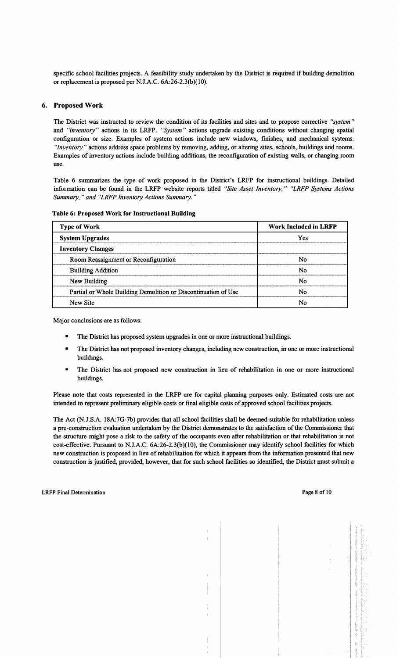specific school facilities projects. A feasibility study undertaken by the District is required if building demolition or replacement is proposed per N.J.A.C. 6A:26-2.3(b)(10).

## 6. Proposed Work

The District was instructed to review the condition of its facilities and sites and to propose corrective *"system"*  and *"inventory"* actions in its LRFP. *"System"* actions upgrade existing conditions without changing spatial configuration or size. Examples of system actions include new windows, finishes, and mechanical systems. *"Inventory"* actions address space problems by removing, adding, or altering sites, schools, buildings and rooms. Examples of inventory actions include building additions, the reconflguration of existing walls, or changing room use.

Table 6 summarizes the type of work proposed in the District's LRFP for instructional buildings. Detailed information can be found in the LRFP website reports titled *"Site Asset Inventory," "LRFP Systems Actions Summary,* " *and "LRFP Inventory Actions Summary. "* 

| <b>Type of Work</b>                                            | Work Included in LRFP |
|----------------------------------------------------------------|-----------------------|
| <b>System Upgrades</b>                                         | Yes                   |
| <b>Inventory Changes</b>                                       |                       |
| Room Reassignment or Reconfiguration                           | No                    |
| <b>Building Addition</b>                                       | No                    |
| New Building                                                   | No                    |
| Partial or Whole Building Demolition or Discontinuation of Use | No                    |
| New Site                                                       | No                    |

#### Table 6: Proposed Work for Instructional Building

Major conclusions are as follows:

- The District has proposed system upgrades in one or more instructional buildings.
- The District has not proposed inventory changes, including new construction, in one or more instructional buildings.
- The District has not proposed new construction in lieu of rehabilitation in one or more instructional buildings.

Please note that costs represented in the LRFP are for capital planning purposes only. Estimated costs are not intended to represent preliminary eligible costs or final eligible costs of approved school facilities projects.

The Act (N.J.S.A. 18A:7G-7b) provides that all school facilities shall be deemed suitable for rehabilitation unless a pre-construction evaluation undertaken by the District demonstrates to the satisfaction of the Commissioner that the structure might pose a risk to the safety of the occupants even after rehabilitation or that rehabilitation is not cost-effective. Pursuant to N.J.A.C. 6A:26-2.3(b)(10), the Commissioner may identify school facilities for which new construction is proposed in lieu of rehabilitation for which it appears from the information presented that new construction is justified, provided, however, that for such school facilities so identified, the District must submit a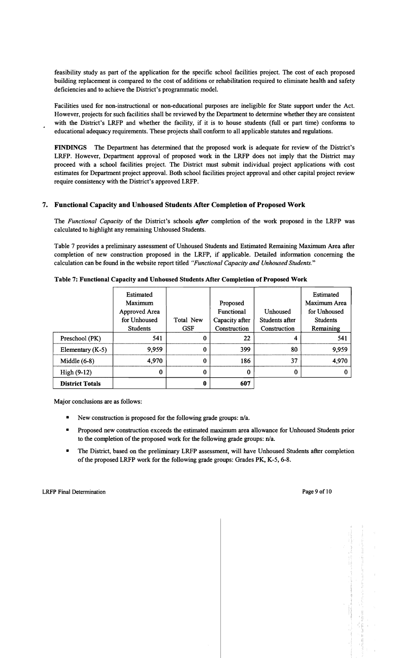feasibility study as part of the application for the specific school facilities project. The cost of each proposed building replacement is compared to the cost of additions or rehabilitation required to eliminate health and safety deficiencies and to achieve the District's programmatic model.

Facilities used for non-instructional or non-educational purposes are ineligible for State support under the Act. However, projects for such facilities shall be reviewed by the Department to determine whether they are consistent with the District's LRFP and whether the facility, if it is to house students (full or part time) conforms to educational adequacy requirements. These projects shall conform to all applicable statutes and regulations.

FINDINGS The Department has determined that the proposed work is adequate for review of the District's LRFP. However, Department approval of proposed work in the LRFP does not imply that the District may proceed with a school facilities project. The District must submit individual project applications with cost estimates for Department project approval. Both school facilities project approval and other capital project review require consistency with the District's approved LRFP.

# 7. Functional Capacity and Unhoused Students After Completion of Proposed Work

The *Functional Capacity* of the District's schools *after* completion of the work proposed in the LRFP was calculated to highlight any remaining Unhoused Students.

Table 7 provides a preliminary assessment of Unhoused Students and Estimated Remaining Maximum Area after completion of new construction proposed in the LRFP, if applicable. Detailed information concerning the calculation can be found in the website report titled *"Functional Capacity and Unhoused Students."* 

|                        | <b>Estimated</b><br>Maximum<br>Approved Area<br>for Unhoused<br><b>Students</b> | Total New<br><b>GSF</b> | Proposed<br>Functional<br>Capacity after<br>Construction | Unhoused<br>Students after<br>Construction | Estimated<br>Maximum Area<br>for Unhoused<br><b>Students</b><br>Remaining |
|------------------------|---------------------------------------------------------------------------------|-------------------------|----------------------------------------------------------|--------------------------------------------|---------------------------------------------------------------------------|
| Preschool (PK)         | 541                                                                             | $\bf{0}$                | 22                                                       |                                            | 541                                                                       |
| Elementary $(K-5)$     | 9,959                                                                           | $\Omega$                | 399                                                      | 80                                         | 9,959                                                                     |
| Middle $(6-8)$         | 4,970                                                                           | 0                       | 186                                                      | 37                                         | 4,970                                                                     |
| $High(9-12)$           | 0                                                                               | $\bf{0}$                | $\Omega$                                                 | 0                                          |                                                                           |
| <b>District Totals</b> |                                                                                 | $\bf{0}$                | 607                                                      |                                            |                                                                           |

Major conclusions are as follows:

- New construction is proposed for the following grade groups:  $n/a$ .
- Proposed new construction exceeds the estimated maximum area allowance for Unhoused Students prior to the completion of the proposed work for the following grade groups: n/a.
- The District, based on the preliminary LRFP assessment, will have Unhoused Students after completion of the proposed LRFP work for the following grade groups: Grades PK, K-5, 6-8.